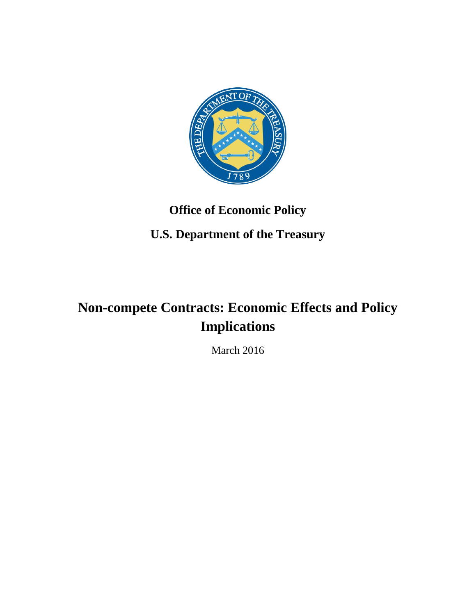

# **Office of Economic Policy**

# **U.S. Department of the Treasury**

# **Non-compete Contracts: Economic Effects and Policy Implications**

March 2016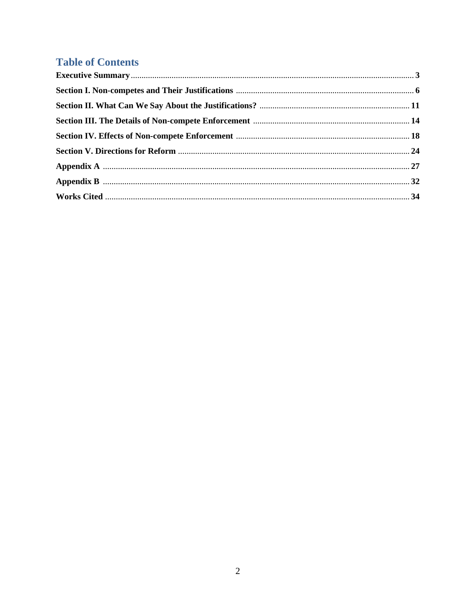### **Table of Contents**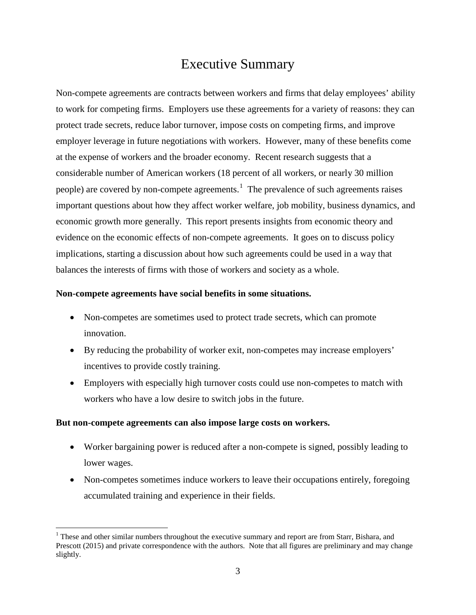# Executive Summary

Non-compete agreements are contracts between workers and firms that delay employees' ability to work for competing firms. Employers use these agreements for a variety of reasons: they can protect trade secrets, reduce labor turnover, impose costs on competing firms, and improve employer leverage in future negotiations with workers. However, many of these benefits come at the expense of workers and the broader economy. Recent research suggests that a considerable number of American workers (18 percent of all workers, or nearly 30 million people) are covered by non-compete agreements.<sup>[1](#page-2-0)</sup> The prevalence of such agreements raises important questions about how they affect worker welfare, job mobility, business dynamics, and economic growth more generally. This report presents insights from economic theory and evidence on the economic effects of non-compete agreements. It goes on to discuss policy implications, starting a discussion about how such agreements could be used in a way that balances the interests of firms with those of workers and society as a whole.

#### **Non-compete agreements have social benefits in some situations.**

- Non-competes are sometimes used to protect trade secrets, which can promote innovation.
- By reducing the probability of worker exit, non-competes may increase employers' incentives to provide costly training.
- Employers with especially high turnover costs could use non-competes to match with workers who have a low desire to switch jobs in the future.

#### **But non-compete agreements can also impose large costs on workers.**

- Worker bargaining power is reduced after a non-compete is signed, possibly leading to lower wages.
- Non-competes sometimes induce workers to leave their occupations entirely, foregoing accumulated training and experience in their fields.

<span id="page-2-0"></span><sup>&</sup>lt;sup>1</sup> These and other similar numbers throughout the executive summary and report are from Starr, Bishara, and Prescott (2015) and private correspondence with the authors. Note that all figures are preliminary and may change slightly.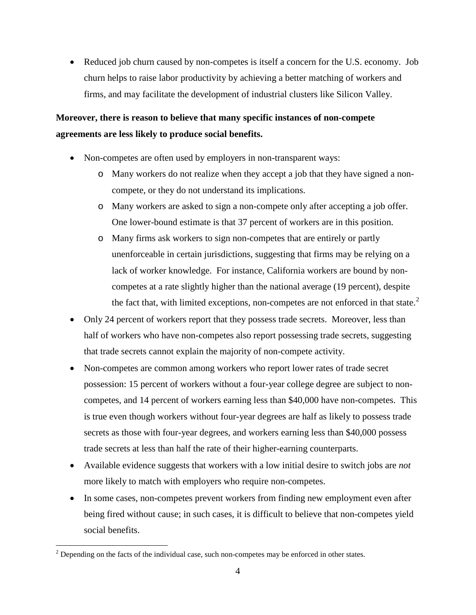• Reduced job churn caused by non-competes is itself a concern for the U.S. economy. Job churn helps to raise labor productivity by achieving a better matching of workers and firms, and may facilitate the development of industrial clusters like Silicon Valley.

### **Moreover, there is reason to believe that many specific instances of non-compete agreements are less likely to produce social benefits.**

- Non-competes are often used by employers in non-transparent ways:
	- o Many workers do not realize when they accept a job that they have signed a noncompete, or they do not understand its implications.
	- o Many workers are asked to sign a non-compete only after accepting a job offer. One lower-bound estimate is that 37 percent of workers are in this position.
	- o Many firms ask workers to sign non-competes that are entirely or partly unenforceable in certain jurisdictions, suggesting that firms may be relying on a lack of worker knowledge. For instance, California workers are bound by noncompetes at a rate slightly higher than the national average (19 percent), despite the fact that, with limited exceptions, non-competes are not enforced in that state. $2$
- Only 24 percent of workers report that they possess trade secrets. Moreover, less than half of workers who have non-competes also report possessing trade secrets, suggesting that trade secrets cannot explain the majority of non-compete activity.
- Non-competes are common among workers who report lower rates of trade secret possession: 15 percent of workers without a four-year college degree are subject to noncompetes, and 14 percent of workers earning less than \$40,000 have non-competes. This is true even though workers without four-year degrees are half as likely to possess trade secrets as those with four-year degrees, and workers earning less than \$40,000 possess trade secrets at less than half the rate of their higher-earning counterparts.
- Available evidence suggests that workers with a low initial desire to switch jobs are *not* more likely to match with employers who require non-competes.
- In some cases, non-competes prevent workers from finding new employment even after being fired without cause; in such cases, it is difficult to believe that non-competes yield social benefits.

<span id="page-3-0"></span> $2$  Depending on the facts of the individual case, such non-competes may be enforced in other states.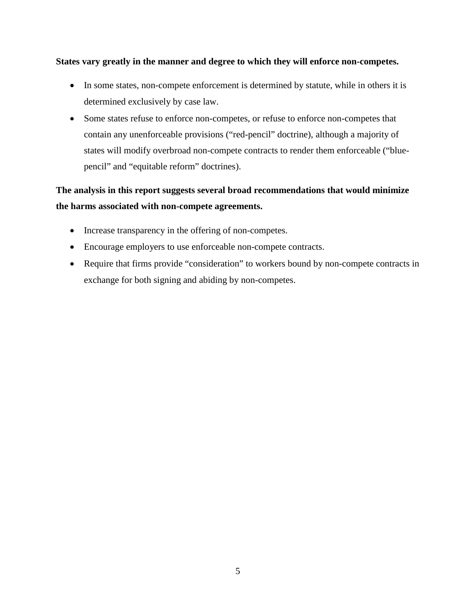#### **States vary greatly in the manner and degree to which they will enforce non-competes.**

- In some states, non-compete enforcement is determined by statute, while in others it is determined exclusively by case law.
- Some states refuse to enforce non-competes, or refuse to enforce non-competes that contain any unenforceable provisions ("red-pencil" doctrine), although a majority of states will modify overbroad non-compete contracts to render them enforceable ("bluepencil" and "equitable reform" doctrines).

### **The analysis in this report suggests several broad recommendations that would minimize the harms associated with non-compete agreements.**

- Increase transparency in the offering of non-competes.
- Encourage employers to use enforceable non-compete contracts.
- Require that firms provide "consideration" to workers bound by non-compete contracts in exchange for both signing and abiding by non-competes.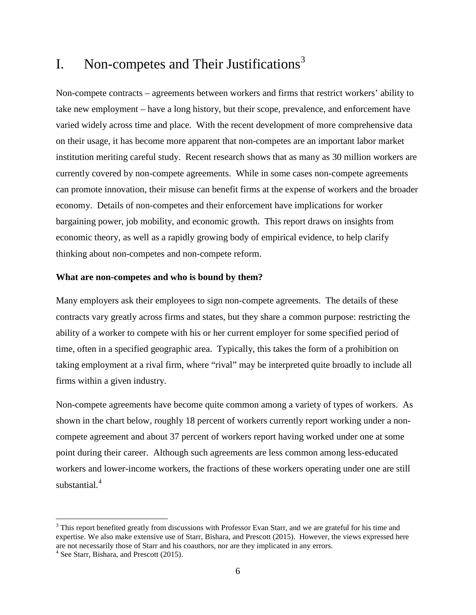# I. Non-competes and Their Justifications<sup>[3](#page-5-0)</sup>

Non-compete contracts – agreements between workers and firms that restrict workers' ability to take new employment – have a long history, but their scope, prevalence, and enforcement have varied widely across time and place. With the recent development of more comprehensive data on their usage, it has become more apparent that non-competes are an important labor market institution meriting careful study. Recent research shows that as many as 30 million workers are currently covered by non-compete agreements. While in some cases non-compete agreements can promote innovation, their misuse can benefit firms at the expense of workers and the broader economy. Details of non-competes and their enforcement have implications for worker bargaining power, job mobility, and economic growth. This report draws on insights from economic theory, as well as a rapidly growing body of empirical evidence, to help clarify thinking about non-competes and non-compete reform.

#### **What are non-competes and who is bound by them?**

Many employers ask their employees to sign non-compete agreements. The details of these contracts vary greatly across firms and states, but they share a common purpose: restricting the ability of a worker to compete with his or her current employer for some specified period of time, often in a specified geographic area. Typically, this takes the form of a prohibition on taking employment at a rival firm, where "rival" may be interpreted quite broadly to include all firms within a given industry.

Non-compete agreements have become quite common among a variety of types of workers. As shown in the chart below, roughly 18 percent of workers currently report working under a noncompete agreement and about 37 percent of workers report having worked under one at some point during their career. Although such agreements are less common among less-educated workers and lower-income workers, the fractions of these workers operating under one are still substantial. [4](#page-5-1)

<span id="page-5-0"></span><sup>&</sup>lt;sup>3</sup> This report benefited greatly from discussions with Professor Evan Starr, and we are grateful for his time and expertise. We also make extensive use of Starr, Bishara, and Prescott (2015). However, the views expressed here are not necessarily those of Starr and his coauthors, nor are they implicated in any errors. <sup>4</sup> See Starr, Bishara, and Prescott (2015).

<span id="page-5-1"></span>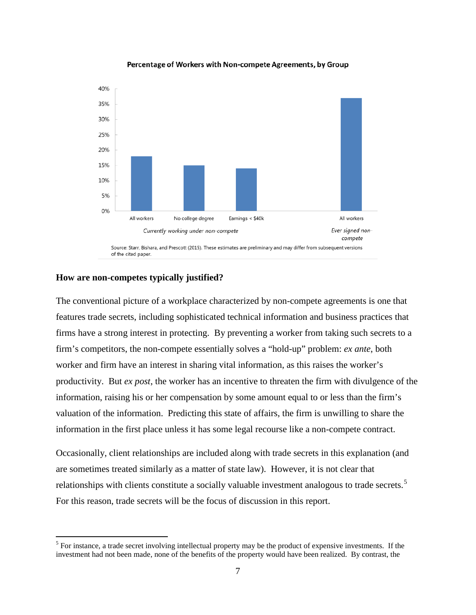

#### Percentage of Workers with Non-compete Agreements, by Group

#### **How are non-competes typically justified?**

The conventional picture of a workplace characterized by non-compete agreements is one that features trade secrets, including sophisticated technical information and business practices that firms have a strong interest in protecting. By preventing a worker from taking such secrets to a firm's competitors, the non-compete essentially solves a "hold-up" problem: *ex ante*, both worker and firm have an interest in sharing vital information, as this raises the worker's productivity. But *ex post*, the worker has an incentive to threaten the firm with divulgence of the information, raising his or her compensation by some amount equal to or less than the firm's valuation of the information. Predicting this state of affairs, the firm is unwilling to share the information in the first place unless it has some legal recourse like a non-compete contract.

Occasionally, client relationships are included along with trade secrets in this explanation (and are sometimes treated similarly as a matter of state law). However, it is not clear that relationships with clients constitute a socially valuable investment analogous to trade secrets.<sup>[5](#page-6-0)</sup> For this reason, trade secrets will be the focus of discussion in this report.

<span id="page-6-0"></span><sup>&</sup>lt;sup>5</sup> For instance, a trade secret involving intellectual property may be the product of expensive investments. If the investment had not been made, none of the benefits of the property would have been realized. By contrast, the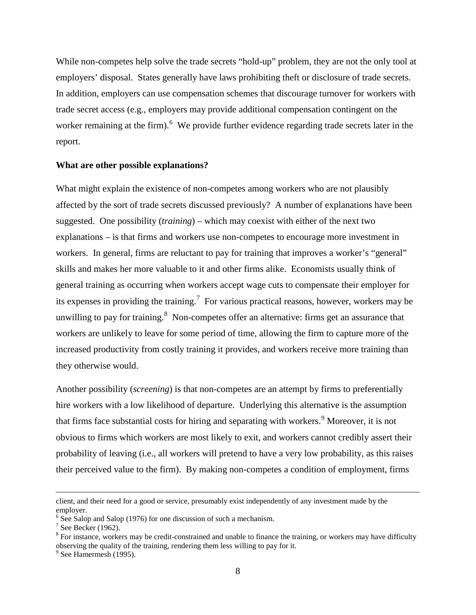While non-competes help solve the trade secrets "hold-up" problem, they are not the only tool at employers' disposal. States generally have laws prohibiting theft or disclosure of trade secrets. In addition, employers can use compensation schemes that discourage turnover for workers with trade secret access (e.g., employers may provide additional compensation contingent on the worker remaining at the firm). <sup>[6](#page-7-0)</sup> We provide further evidence regarding trade secrets later in the report.

#### **What are other possible explanations?**

What might explain the existence of non-competes among workers who are not plausibly affected by the sort of trade secrets discussed previously? A number of explanations have been suggested. One possibility (*training*) – which may coexist with either of the next two explanations – is that firms and workers use non-competes to encourage more investment in workers. In general, firms are reluctant to pay for training that improves a worker's "general" skills and makes her more valuable to it and other firms alike. Economists usually think of general training as occurring when workers accept wage cuts to compensate their employer for its expenses in providing the training.<sup>[7](#page-7-1)</sup> For various practical reasons, however, workers may be unwilling to pay for training.<sup>[8](#page-7-2)</sup> Non-competes offer an alternative: firms get an assurance that workers are unlikely to leave for some period of time, allowing the firm to capture more of the increased productivity from costly training it provides, and workers receive more training than they otherwise would.

Another possibility (*screening*) is that non-competes are an attempt by firms to preferentially hire workers with a low likelihood of departure. Underlying this alternative is the assumption that firms face substantial costs for hiring and separating with workers.<sup>[9](#page-7-3)</sup> Moreover, it is not obvious to firms which workers are most likely to exit, and workers cannot credibly assert their probability of leaving (i.e., all workers will pretend to have a very low probability, as this raises their perceived value to the firm). By making non-competes a condition of employment, firms

client, and their need for a good or service, presumably exist independently of any investment made by the employer.

<span id="page-7-0"></span> $\frac{6}{7}$  See Salop and Salop (1976) for one discussion of such a mechanism.<br>
<sup>7</sup> See Becker (1962).

<span id="page-7-1"></span>

<span id="page-7-2"></span> $8$  For instance, workers may be credit-constrained and unable to finance the training, or workers may have difficulty observing the quality of the training, rendering them less willing to pay for it. <sup>9</sup> See Hamermesh (1995).

<span id="page-7-3"></span>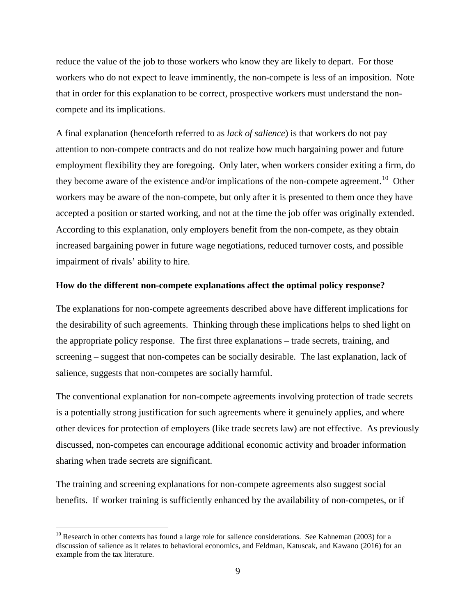reduce the value of the job to those workers who know they are likely to depart. For those workers who do not expect to leave imminently, the non-compete is less of an imposition. Note that in order for this explanation to be correct, prospective workers must understand the noncompete and its implications.

A final explanation (henceforth referred to as *lack of salience*) is that workers do not pay attention to non-compete contracts and do not realize how much bargaining power and future employment flexibility they are foregoing. Only later, when workers consider exiting a firm, do they become aware of the existence and/or implications of the non-compete agreement.<sup>[10](#page-8-0)</sup> Other workers may be aware of the non-compete, but only after it is presented to them once they have accepted a position or started working, and not at the time the job offer was originally extended. According to this explanation, only employers benefit from the non-compete, as they obtain increased bargaining power in future wage negotiations, reduced turnover costs, and possible impairment of rivals' ability to hire.

#### **How do the different non-compete explanations affect the optimal policy response?**

The explanations for non-compete agreements described above have different implications for the desirability of such agreements. Thinking through these implications helps to shed light on the appropriate policy response. The first three explanations – trade secrets, training, and screening – suggest that non-competes can be socially desirable. The last explanation, lack of salience, suggests that non-competes are socially harmful.

The conventional explanation for non-compete agreements involving protection of trade secrets is a potentially strong justification for such agreements where it genuinely applies, and where other devices for protection of employers (like trade secrets law) are not effective. As previously discussed, non-competes can encourage additional economic activity and broader information sharing when trade secrets are significant.

The training and screening explanations for non-compete agreements also suggest social benefits. If worker training is sufficiently enhanced by the availability of non-competes, or if

<span id="page-8-0"></span> $10$  Research in other contexts has found a large role for salience considerations. See Kahneman (2003) for a discussion of salience as it relates to behavioral economics, and Feldman, Katuscak, and Kawano (2016) for an example from the tax literature.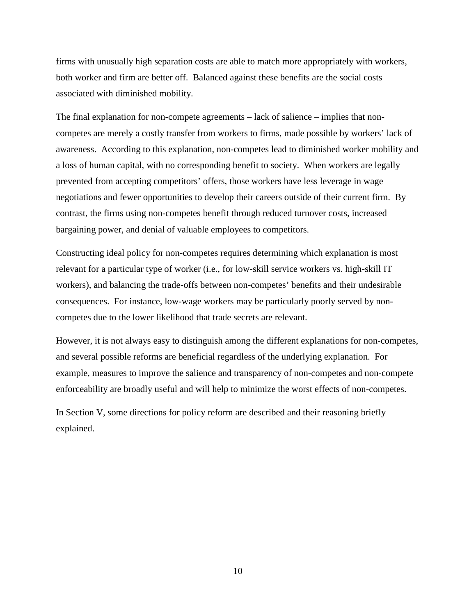firms with unusually high separation costs are able to match more appropriately with workers, both worker and firm are better off. Balanced against these benefits are the social costs associated with diminished mobility.

The final explanation for non-compete agreements – lack of salience – implies that noncompetes are merely a costly transfer from workers to firms, made possible by workers' lack of awareness. According to this explanation, non-competes lead to diminished worker mobility and a loss of human capital, with no corresponding benefit to society. When workers are legally prevented from accepting competitors' offers, those workers have less leverage in wage negotiations and fewer opportunities to develop their careers outside of their current firm. By contrast, the firms using non-competes benefit through reduced turnover costs, increased bargaining power, and denial of valuable employees to competitors.

Constructing ideal policy for non-competes requires determining which explanation is most relevant for a particular type of worker (i.e., for low-skill service workers vs. high-skill IT workers), and balancing the trade-offs between non-competes' benefits and their undesirable consequences. For instance, low-wage workers may be particularly poorly served by noncompetes due to the lower likelihood that trade secrets are relevant.

However, it is not always easy to distinguish among the different explanations for non-competes, and several possible reforms are beneficial regardless of the underlying explanation. For example, measures to improve the salience and transparency of non-competes and non-compete enforceability are broadly useful and will help to minimize the worst effects of non-competes.

In Section V, some directions for policy reform are described and their reasoning briefly explained.

10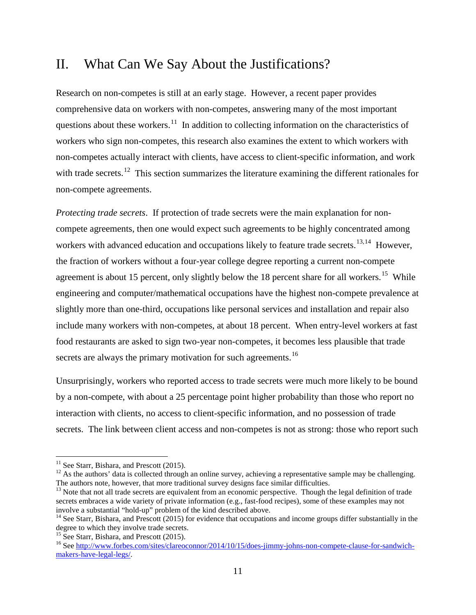## II. What Can We Say About the Justifications?

Research on non-competes is still at an early stage. However, a recent paper provides comprehensive data on workers with non-competes, answering many of the most important questions about these workers.<sup>[11](#page-10-0)</sup> In addition to collecting information on the characteristics of workers who sign non-competes, this research also examines the extent to which workers with non-competes actually interact with clients, have access to client-specific information, and work with trade secrets.<sup>12</sup> This section summarizes the literature examining the different rationales for non-compete agreements.

*Protecting trade secrets*. If protection of trade secrets were the main explanation for noncompete agreements, then one would expect such agreements to be highly concentrated among workers with advanced education and occupations likely to feature trade secrets.<sup>[13,](#page-10-2)[14](#page-10-3)</sup> However, the fraction of workers without a four-year college degree reporting a current non-compete agreement is about [15](#page-10-4) percent, only slightly below the 18 percent share for all workers.<sup>15</sup> While engineering and computer/mathematical occupations have the highest non-compete prevalence at slightly more than one-third, occupations like personal services and installation and repair also include many workers with non-competes, at about 18 percent. When entry-level workers at fast food restaurants are asked to sign two-year non-competes, it becomes less plausible that trade secrets are always the primary motivation for such agreements.<sup>[16](#page-10-5)</sup>

Unsurprisingly, workers who reported access to trade secrets were much more likely to be bound by a non-compete, with about a 25 percentage point higher probability than those who report no interaction with clients, no access to client-specific information, and no possession of trade secrets. The link between client access and non-competes is not as strong: those who report such

<span id="page-10-1"></span><span id="page-10-0"></span><sup>&</sup>lt;sup>11</sup> See Starr, Bishara, and Prescott (2015).<br><sup>12</sup> As the authors' data is collected through an online survey, achieving a representative sample may be challenging. The authors note, however, that more traditional survey designs face similar difficulties.

<span id="page-10-2"></span><sup>&</sup>lt;sup>13</sup> Note that not all trade secrets are equivalent from an economic perspective. Though the legal definition of trade secrets embraces a wide variety of private information (e.g., fast-food recipes), some of these examples may not involve a substantial "hold-up" problem of the kind described above.

<span id="page-10-3"></span> $14$  See Starr, Bishara, and Prescott (2015) for evidence that occupations and income groups differ substantially in the degree to which they involve trade secrets.<br><sup>15</sup> See Starr, Bishara, and Prescott (2015).

<span id="page-10-4"></span>

<span id="page-10-5"></span><sup>&</sup>lt;sup>16</sup> See [http://www.forbes.com/sites/clareoconnor/2014/10/15/does-jimmy-johns-non-compete-clause-for-sandwich](http://www.forbes.com/sites/clareoconnor/2014/10/15/does-jimmy-johns-non-compete-clause-for-sandwich-makers-have-legal-legs/)[makers-have-legal-legs/.](http://www.forbes.com/sites/clareoconnor/2014/10/15/does-jimmy-johns-non-compete-clause-for-sandwich-makers-have-legal-legs/)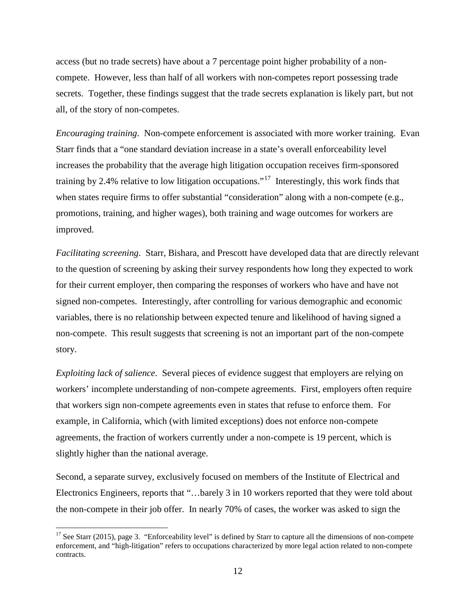access (but no trade secrets) have about a 7 percentage point higher probability of a noncompete. However, less than half of all workers with non-competes report possessing trade secrets. Together, these findings suggest that the trade secrets explanation is likely part, but not all, of the story of non-competes.

*Encouraging training*. Non-compete enforcement is associated with more worker training. Evan Starr finds that a "one standard deviation increase in a state's overall enforceability level increases the probability that the average high litigation occupation receives firm-sponsored training by 2.4% relative to low litigation occupations."[17](#page-11-0) Interestingly, this work finds that when states require firms to offer substantial "consideration" along with a non-compete (e.g., promotions, training, and higher wages), both training and wage outcomes for workers are improved.

*Facilitating screening*. Starr, Bishara, and Prescott have developed data that are directly relevant to the question of screening by asking their survey respondents how long they expected to work for their current employer, then comparing the responses of workers who have and have not signed non-competes. Interestingly, after controlling for various demographic and economic variables, there is no relationship between expected tenure and likelihood of having signed a non-compete. This result suggests that screening is not an important part of the non-compete story.

*Exploiting lack of salience.* Several pieces of evidence suggest that employers are relying on workers' incomplete understanding of non-compete agreements. First, employers often require that workers sign non-compete agreements even in states that refuse to enforce them. For example, in California, which (with limited exceptions) does not enforce non-compete agreements, the fraction of workers currently under a non-compete is 19 percent, which is slightly higher than the national average.

Second, a separate survey, exclusively focused on members of the Institute of Electrical and Electronics Engineers, reports that "…barely 3 in 10 workers reported that they were told about the non-compete in their job offer. In nearly 70% of cases, the worker was asked to sign the

<span id="page-11-0"></span><sup>&</sup>lt;sup>17</sup> See Starr (2015), page 3. "Enforceability level" is defined by Starr to capture all the dimensions of non-compete enforcement, and "high-litigation" refers to occupations characterized by more legal action related to non-compete contracts.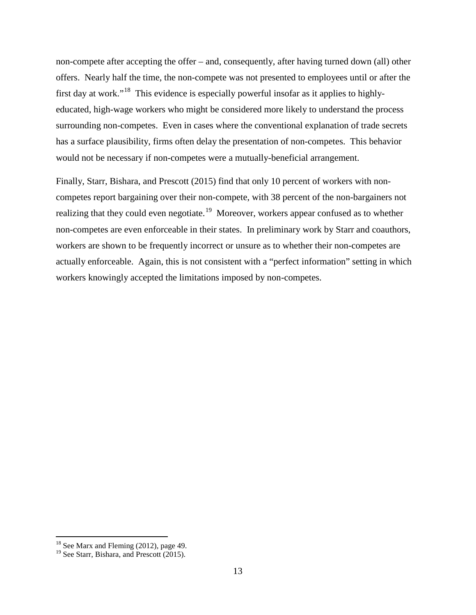non-compete after accepting the offer – and, consequently, after having turned down (all) other offers. Nearly half the time, the non-compete was not presented to employees until or after the first day at work."[18](#page-12-0) This evidence is especially powerful insofar as it applies to highlyeducated, high-wage workers who might be considered more likely to understand the process surrounding non-competes. Even in cases where the conventional explanation of trade secrets has a surface plausibility, firms often delay the presentation of non-competes. This behavior would not be necessary if non-competes were a mutually-beneficial arrangement.

Finally, Starr, Bishara, and Prescott (2015) find that only 10 percent of workers with noncompetes report bargaining over their non-compete, with 38 percent of the non-bargainers not realizing that they could even negotiate.<sup>19</sup> Moreover, workers appear confused as to whether non-competes are even enforceable in their states. In preliminary work by Starr and coauthors, workers are shown to be frequently incorrect or unsure as to whether their non-competes are actually enforceable. Again, this is not consistent with a "perfect information" setting in which workers knowingly accepted the limitations imposed by non-competes.

<span id="page-12-0"></span> $18$  See Marx and Fleming (2012), page 49.

<span id="page-12-1"></span><sup>&</sup>lt;sup>19</sup> See Starr, Bishara, and Prescott (2015).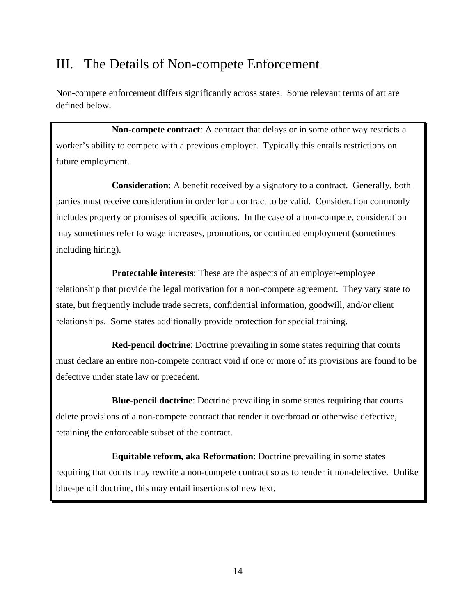# III. The Details of Non-compete Enforcement

Non-compete enforcement differs significantly across states. Some relevant terms of art are defined below.

**Non-compete contract**: A contract that delays or in some other way restricts a worker's ability to compete with a previous employer. Typically this entails restrictions on future employment.

**Consideration**: A benefit received by a signatory to a contract. Generally, both parties must receive consideration in order for a contract to be valid. Consideration commonly includes property or promises of specific actions. In the case of a non-compete, consideration may sometimes refer to wage increases, promotions, or continued employment (sometimes including hiring).

**Protectable interests**: These are the aspects of an employer-employee relationship that provide the legal motivation for a non-compete agreement. They vary state to state, but frequently include trade secrets, confidential information, goodwill, and/or client relationships. Some states additionally provide protection for special training.

**Red-pencil doctrine**: Doctrine prevailing in some states requiring that courts must declare an entire non-compete contract void if one or more of its provisions are found to be defective under state law or precedent.

**Blue-pencil doctrine**: Doctrine prevailing in some states requiring that courts delete provisions of a non-compete contract that render it overbroad or otherwise defective, retaining the enforceable subset of the contract.

**Equitable reform, aka Reformation**: Doctrine prevailing in some states requiring that courts may rewrite a non-compete contract so as to render it non-defective. Unlike blue-pencil doctrine, this may entail insertions of new text.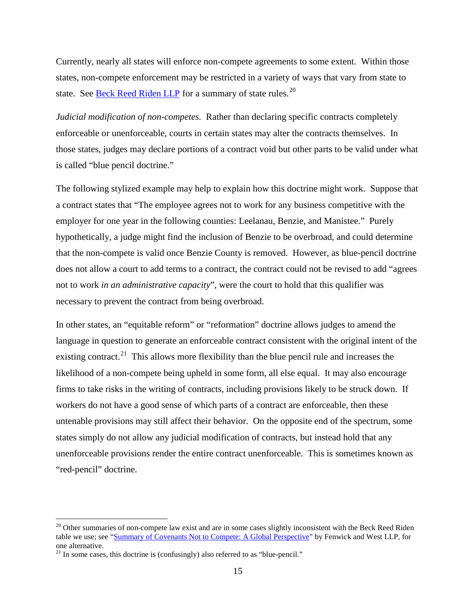Currently, nearly all states will enforce non-compete agreements to some extent. Within those states, non-compete enforcement may be restricted in a variety of ways that vary from state to state. See [Beck Reed Riden LLP](http://www.beckreedriden.com/50-state-noncompete-survey/) for a summary of state rules.<sup>[20](#page-14-0)</sup>

*Judicial modification of non-competes.* Rather than declaring specific contracts completely enforceable or unenforceable, courts in certain states may alter the contracts themselves. In those states, judges may declare portions of a contract void but other parts to be valid under what is called "blue pencil doctrine."

The following stylized example may help to explain how this doctrine might work. Suppose that a contract states that "The employee agrees not to work for any business competitive with the employer for one year in the following counties: Leelanau, Benzie, and Manistee." Purely hypothetically, a judge might find the inclusion of Benzie to be overbroad, and could determine that the non-compete is valid once Benzie County is removed. However, as blue-pencil doctrine does not allow a court to add terms to a contract, the contract could not be revised to add "agrees not to work *in an administrative capacity*", were the court to hold that this qualifier was necessary to prevent the contract from being overbroad.

In other states, an "equitable reform" or "reformation" doctrine allows judges to amend the language in question to generate an enforceable contract consistent with the original intent of the existing contract.<sup>[21](#page-14-1)</sup> This allows more flexibility than the blue pencil rule and increases the likelihood of a non-compete being upheld in some form, all else equal. It may also encourage firms to take risks in the writing of contracts, including provisions likely to be struck down. If workers do not have a good sense of which parts of a contract are enforceable, then these untenable provisions may still affect their behavior. On the opposite end of the spectrum, some states simply do not allow any judicial modification of contracts, but instead hold that any unenforceable provisions render the entire contract unenforceable. This is sometimes known as "red-pencil" doctrine.

<span id="page-14-0"></span> $20$  Other summaries of non-compete law exist and are in some cases slightly inconsistent with the Beck Reed Riden table we use; see ["Summary of Covenants Not to Compete: A Global Perspective"](https://www.fenwick.com/FenwickDocuments/RS_Summary-of-Covenants.pdf) by Fenwick and West LLP, for one alternative.

<span id="page-14-1"></span> $21$  In some cases, this doctrine is (confusingly) also referred to as "blue-pencil."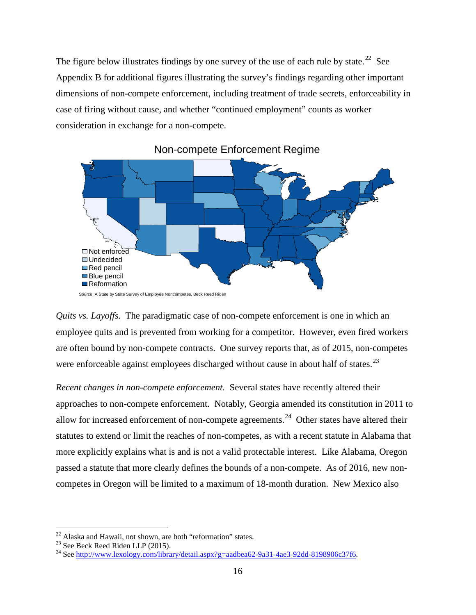The figure below illustrates findings by one survey of the use of each rule by state.<sup>22</sup> See Appendix B for additional figures illustrating the survey's findings regarding other important dimensions of non-compete enforcement, including treatment of trade secrets, enforceability in case of firing without cause, and whether "continued employment" counts as worker consideration in exchange for a non-compete.



Non-compete Enforcement Regime

*Recent changes in non-compete enforcement.* Several states have recently altered their approaches to non-compete enforcement. Notably, Georgia amended its constitution in 2011 to allow for increased enforcement of non-compete agreements.<sup>[24](#page-15-2)</sup> Other states have altered their statutes to extend or limit the reaches of non-competes, as with a recent statute in Alabama that more explicitly explains what is and is not a valid protectable interest. Like Alabama, Oregon passed a statute that more clearly defines the bounds of a non-compete. As of 2016, new noncompetes in Oregon will be limited to a maximum of 18-month duration. New Mexico also

*Quits vs. Layoffs.* The paradigmatic case of non-compete enforcement is one in which an employee quits and is prevented from working for a competitor. However, even fired workers are often bound by non-compete contracts. One survey reports that, as of 2015, non-competes were enforceable against employees discharged without cause in about half of states.<sup>[23](#page-15-1)</sup>

<span id="page-15-2"></span>

<span id="page-15-1"></span><span id="page-15-0"></span><sup>&</sup>lt;sup>22</sup> Alaska and Hawaii, not shown, are both "reformation" states.<br><sup>23</sup> See Beck Reed Riden LLP (2015).<br><sup>24</sup> See [http://www.lexology.com/library/detail.aspx?g=aadbea62-9a31-4ae3-92dd-8198906c37f6.](http://www.lexology.com/library/detail.aspx?g=aadbea62-9a31-4ae3-92dd-8198906c37f6)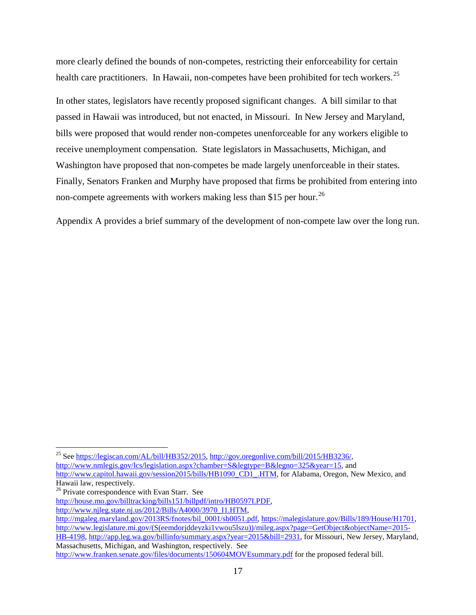more clearly defined the bounds of non-competes, restricting their enforceability for certain health care practitioners. In Hawaii, non-competes have been prohibited for tech workers.<sup>[25](#page-16-0)</sup>

In other states, legislators have recently proposed significant changes. A bill similar to that passed in Hawaii was introduced, but not enacted, in Missouri. In New Jersey and Maryland, bills were proposed that would render non-competes unenforceable for any workers eligible to receive unemployment compensation. State legislators in Massachusetts, Michigan, and Washington have proposed that non-competes be made largely unenforceable in their states. Finally, Senators Franken and Murphy have proposed that firms be prohibited from entering into non-compete agreements with workers making less than \$15 per hour.<sup>[26](#page-16-1)</sup>

Appendix A provides a brief summary of the development of non-compete law over the long run.

<span id="page-16-0"></span><sup>&</sup>lt;sup>25</sup> See [https://legiscan.com/AL/bill/HB352/2015,](https://legiscan.com/AL/bill/HB352/2015) [http://gov.oregonlive.com/bill/2015/HB3236/,](http://gov.oregonlive.com/bill/2015/HB3236/) [http://www.nmlegis.gov/lcs/legislation.aspx?chamber=S&legtype=B&legno=325&year=15,](http://www.nmlegis.gov/lcs/legislation.aspx?chamber=S&legtype=B&legno=325&year=15) and

[http://www.capitol.hawaii.gov/session2015/bills/HB1090\\_CD1\\_.HTM,](http://www.capitol.hawaii.gov/session2015/bills/HB1090_CD1_.HTM) for Alabama, Oregon, New Mexico, and Hawaii law, respectively.

<span id="page-16-1"></span><sup>&</sup>lt;sup>26</sup> Private correspondence with Evan Starr. See

[http://house.mo.gov/billtracking/bills151/billpdf/intro/HB0597I.PDF,](http://house.mo.gov/billtracking/bills151/billpdf/intro/HB0597I.PDF)

[http://www.njleg.state.nj.us/2012/Bills/A4000/3970\\_I1.HTM,](http://www.njleg.state.nj.us/2012/Bills/A4000/3970_I1.HTM)

[http://mgaleg.maryland.gov/2013RS/fnotes/bil\\_0001/sb0051.pdf,](http://mgaleg.maryland.gov/2013RS/fnotes/bil_0001/sb0051.pdf) [https://malegislature.gov/Bills/189/House/H1701,](https://malegislature.gov/Bills/189/House/H1701) [http://www.legislature.mi.gov/\(S\(eemdorjddeyzki1vwou5lszu\)\)/mileg.aspx?page=GetObject&objectName=2015-](http://www.legislature.mi.gov/(S(eemdorjddeyzki1vwou5lszu))/mileg.aspx?page=GetObject&objectName=2015-HB-4198) [HB-4198,](http://www.legislature.mi.gov/(S(eemdorjddeyzki1vwou5lszu))/mileg.aspx?page=GetObject&objectName=2015-HB-4198) [http://app.leg.wa.gov/billinfo/summary.aspx?year=2015&bill=2931,](http://app.leg.wa.gov/billinfo/summary.aspx?year=2015&bill=2931) for Missouri, New Jersey, Maryland, Massachusetts, Michigan, and Washington, respectively. See

<http://www.franken.senate.gov/files/documents/150604MOVEsummary.pdf> for the proposed federal bill.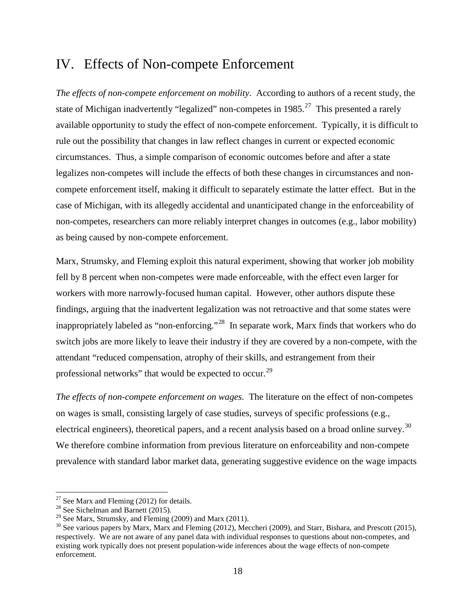## IV. Effects of Non-compete Enforcement

*The effects of non-compete enforcement on mobility*. According to authors of a recent study, the state of Michigan inadvertently "legalized" non-competes in  $1985$ <sup>[27](#page-17-0)</sup> This presented a rarely available opportunity to study the effect of non-compete enforcement. Typically, it is difficult to rule out the possibility that changes in law reflect changes in current or expected economic circumstances. Thus, a simple comparison of economic outcomes before and after a state legalizes non-competes will include the effects of both these changes in circumstances and noncompete enforcement itself, making it difficult to separately estimate the latter effect. But in the case of Michigan, with its allegedly accidental and unanticipated change in the enforceability of non-competes, researchers can more reliably interpret changes in outcomes (e.g., labor mobility) as being caused by non-compete enforcement.

Marx, Strumsky, and Fleming exploit this natural experiment, showing that worker job mobility fell by 8 percent when non-competes were made enforceable, with the effect even larger for workers with more narrowly-focused human capital. However, other authors dispute these findings, arguing that the inadvertent legalization was not retroactive and that some states were inappropriately labeled as "non-enforcing."<sup>[28](#page-17-1)</sup> In separate work, Marx finds that workers who do switch jobs are more likely to leave their industry if they are covered by a non-compete, with the attendant "reduced compensation, atrophy of their skills, and estrangement from their professional networks" that would be expected to occur.<sup>29</sup>

*The effects of non-compete enforcement on wages.* The literature on the effect of non-competes on wages is small, consisting largely of case studies, surveys of specific professions (e.g., electrical engineers), theoretical papers, and a recent analysis based on a broad online survey.<sup>[30](#page-17-3)</sup> We therefore combine information from previous literature on enforceability and non-compete prevalence with standard labor market data, generating suggestive evidence on the wage impacts

<span id="page-17-1"></span><span id="page-17-0"></span><sup>&</sup>lt;sup>27</sup> See Marx and Fleming (2012) for details.<br><sup>28</sup> See Sichelman and Barnett (2015).<br><sup>29</sup> See Marx, Strumsky, and Fleming (2009) and Marx (2011).

<span id="page-17-3"></span><span id="page-17-2"></span><sup>&</sup>lt;sup>30</sup> See various papers by Marx, Marx and Fleming (2012), Meccheri (2009), and Starr, Bishara, and Prescott (2015), respectively. We are not aware of any panel data with individual responses to questions about non-competes, and existing work typically does not present population-wide inferences about the wage effects of non-compete enforcement.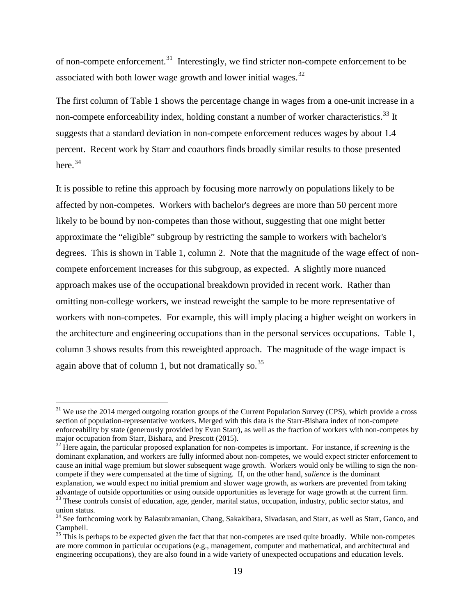of non-compete enforcement.<sup>[31](#page-18-0)</sup> Interestingly, we find stricter non-compete enforcement to be associated with both lower wage growth and lower initial wages. $32$ 

The first column of Table 1 shows the percentage change in wages from a one-unit increase in a non-compete enforceability index, holding constant a number of worker characteristics.<sup>[33](#page-18-2)</sup> It suggests that a standard deviation in non-compete enforcement reduces wages by about 1.4 percent. Recent work by Starr and coauthors finds broadly similar results to those presented here. $34$ 

It is possible to refine this approach by focusing more narrowly on populations likely to be affected by non-competes. Workers with bachelor's degrees are more than 50 percent more likely to be bound by non-competes than those without, suggesting that one might better approximate the "eligible" subgroup by restricting the sample to workers with bachelor's degrees. This is shown in Table 1, column 2. Note that the magnitude of the wage effect of noncompete enforcement increases for this subgroup, as expected. A slightly more nuanced approach makes use of the occupational breakdown provided in recent work. Rather than omitting non-college workers, we instead reweight the sample to be more representative of workers with non-competes. For example, this will imply placing a higher weight on workers in the architecture and engineering occupations than in the personal services occupations. Table 1, column 3 shows results from this reweighted approach. The magnitude of the wage impact is again above that of column 1, but not dramatically so.<sup>35</sup>

<span id="page-18-0"></span> $31$  We use the 2014 merged outgoing rotation groups of the Current Population Survey (CPS), which provide a cross section of population-representative workers. Merged with this data is the Starr-Bishara index of non-compete enforceability by state (generously provided by Evan Starr), as well as the fraction of workers with non-competes by major occupation from Starr, Bishara, and Prescott (2015).

<span id="page-18-1"></span><sup>&</sup>lt;sup>32</sup> Here again, the particular proposed explanation for non-competes is important. For instance, if *screening* is the dominant explanation, and workers are fully informed about non-competes, we would expect stricter enforcement to cause an initial wage premium but slower subsequent wage growth. Workers would only be willing to sign the noncompete if they were compensated at the time of signing. If, on the other hand, *salience* is the dominant explanation, we would expect no initial premium and slower wage growth, as workers are prevented from taking advantage of outside opportunities or using outside opportunities as leverage for wage growth at the current firm

<span id="page-18-2"></span><sup>&</sup>lt;sup>33</sup> These controls consist of education, age, gender, marital status, occupation, industry, public sector status, and union status.

<span id="page-18-3"></span><sup>&</sup>lt;sup>34</sup> See forthcoming work by Balasubramanian, Chang, Sakakibara, Sivadasan, and Starr, as well as Starr, Ganco, and Campbell.

<span id="page-18-4"></span> $35$  This is perhaps to be expected given the fact that that non-competes are used quite broadly. While non-competes are more common in particular occupations (e.g., management, computer and mathematical, and architectural and engineering occupations), they are also found in a wide variety of unexpected occupations and education levels.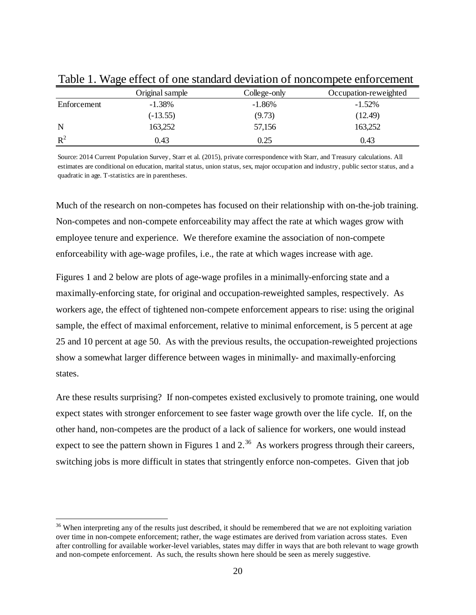|             | Original sample | College-only | Occupation-reweighted |
|-------------|-----------------|--------------|-----------------------|
| Enforcement | $-1.38%$        | $-1.86%$     | $-1.52%$              |
|             | $(-13.55)$      | (9.73)       | (12.49)               |
| N           | 163,252         | 57,156       | 163,252               |
| $R^2$       | 0.43            | 0.25         | 0.43                  |

Table 1. Wage effect of one standard deviation of noncompete enforcement

Source: 2014 Current Population Survey, Starr et al. (2015), private correspondence with Starr, and Treasury calculations. All estimates are conditional on education, marital status, union status, sex, major occupation and industry, public sector status, and a quadratic in age. T-statistics are in parentheses.

Much of the research on non-competes has focused on their relationship with on-the-job training. Non-competes and non-compete enforceability may affect the rate at which wages grow with employee tenure and experience. We therefore examine the association of non-compete enforceability with age-wage profiles, i.e., the rate at which wages increase with age.

Figures 1 and 2 below are plots of age-wage profiles in a minimally-enforcing state and a maximally-enforcing state, for original and occupation-reweighted samples, respectively. As workers age, the effect of tightened non-compete enforcement appears to rise: using the original sample, the effect of maximal enforcement, relative to minimal enforcement, is 5 percent at age 25 and 10 percent at age 50. As with the previous results, the occupation-reweighted projections show a somewhat larger difference between wages in minimally- and maximally-enforcing states.

Are these results surprising? If non-competes existed exclusively to promote training, one would expect states with stronger enforcement to see faster wage growth over the life cycle. If, on the other hand, non-competes are the product of a lack of salience for workers, one would instead expect to see the pattern shown in Figures 1 and  $2^{36}$  As workers progress through their careers, switching jobs is more difficult in states that stringently enforce non-competes. Given that job

<span id="page-19-0"></span><sup>&</sup>lt;sup>36</sup> When interpreting any of the results just described, it should be remembered that we are not exploiting variation over time in non-compete enforcement; rather, the wage estimates are derived from variation across states. Even after controlling for available worker-level variables, states may differ in ways that are both relevant to wage growth and non-compete enforcement. As such, the results shown here should be seen as merely suggestive.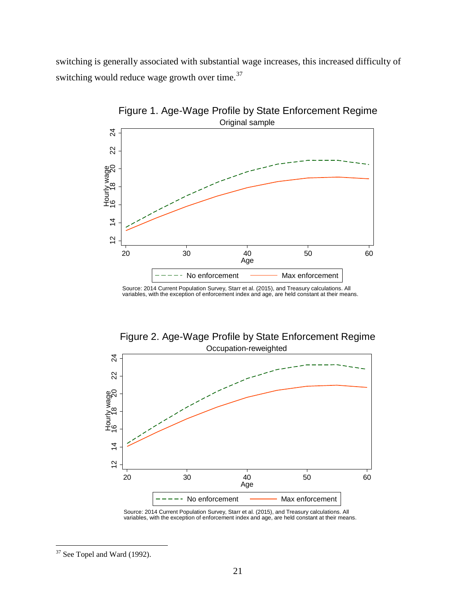switching is generally associated with substantial wage increases, this increased difficulty of switching would reduce wage growth over time. $37$ 



Source: 2014 Current Population Survey, Starr et al. (2015), and Treasury calculations. All variables, with the exception of enforcement index and age, are held constant at their means.





<span id="page-20-0"></span>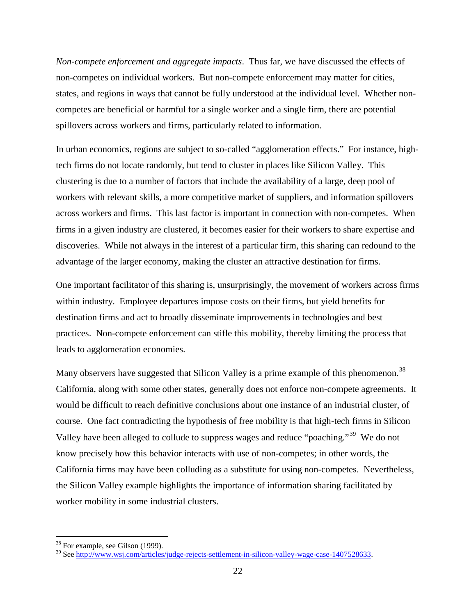*Non-compete enforcement and aggregate impacts*. Thus far, we have discussed the effects of non-competes on individual workers. But non-compete enforcement may matter for cities, states, and regions in ways that cannot be fully understood at the individual level. Whether noncompetes are beneficial or harmful for a single worker and a single firm, there are potential spillovers across workers and firms, particularly related to information.

In urban economics, regions are subject to so-called "agglomeration effects." For instance, hightech firms do not locate randomly, but tend to cluster in places like Silicon Valley. This clustering is due to a number of factors that include the availability of a large, deep pool of workers with relevant skills, a more competitive market of suppliers, and information spillovers across workers and firms. This last factor is important in connection with non-competes. When firms in a given industry are clustered, it becomes easier for their workers to share expertise and discoveries. While not always in the interest of a particular firm, this sharing can redound to the advantage of the larger economy, making the cluster an attractive destination for firms.

One important facilitator of this sharing is, unsurprisingly, the movement of workers across firms within industry. Employee departures impose costs on their firms, but yield benefits for destination firms and act to broadly disseminate improvements in technologies and best practices. Non-compete enforcement can stifle this mobility, thereby limiting the process that leads to agglomeration economies.

Many observers have suggested that Silicon Valley is a prime example of this phenomenon.<sup>[38](#page-21-0)</sup> California, along with some other states, generally does not enforce non-compete agreements. It would be difficult to reach definitive conclusions about one instance of an industrial cluster, of course. One fact contradicting the hypothesis of free mobility is that high-tech firms in Silicon Valley have been alleged to collude to suppress wages and reduce "poaching."[39](#page-21-1) We do not know precisely how this behavior interacts with use of non-competes; in other words, the California firms may have been colluding as a substitute for using non-competes. Nevertheless, the Silicon Valley example highlights the importance of information sharing facilitated by worker mobility in some industrial clusters.

<span id="page-21-0"></span> $38$  For example, see Gilson (1999).

<span id="page-21-1"></span><sup>&</sup>lt;sup>39</sup> See [http://www.wsj.com/articles/judge-rejects-settlement-in-silicon-valley-wage-case-1407528633.](http://www.wsj.com/articles/judge-rejects-settlement-in-silicon-valley-wage-case-1407528633)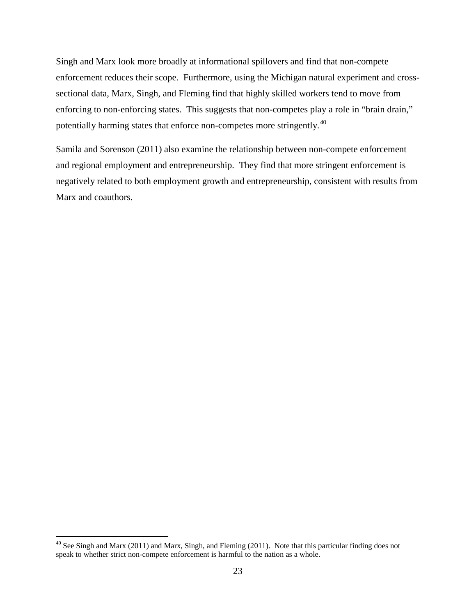Singh and Marx look more broadly at informational spillovers and find that non-compete enforcement reduces their scope. Furthermore, using the Michigan natural experiment and crosssectional data, Marx, Singh, and Fleming find that highly skilled workers tend to move from enforcing to non-enforcing states. This suggests that non-competes play a role in "brain drain," potentially harming states that enforce non-competes more stringently.[40](#page-22-0)

Samila and Sorenson (2011) also examine the relationship between non-compete enforcement and regional employment and entrepreneurship. They find that more stringent enforcement is negatively related to both employment growth and entrepreneurship, consistent with results from Marx and coauthors.

<span id="page-22-0"></span><sup>&</sup>lt;sup>40</sup> See Singh and Marx (2011) and Marx, Singh, and Fleming (2011). Note that this particular finding does not speak to whether strict non-compete enforcement is harmful to the nation as a whole.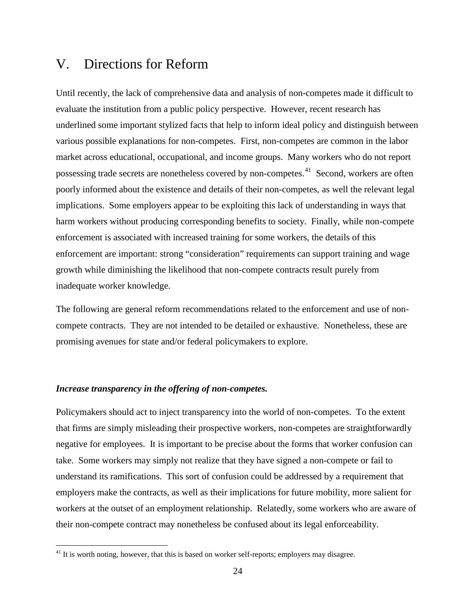### V. Directions for Reform

Until recently, the lack of comprehensive data and analysis of non-competes made it difficult to evaluate the institution from a public policy perspective. However, recent research has underlined some important stylized facts that help to inform ideal policy and distinguish between various possible explanations for non-competes. First, non-competes are common in the labor market across educational, occupational, and income groups. Many workers who do not report possessing trade secrets are nonetheless covered by non-competes.<sup>41</sup> Second, workers are often poorly informed about the existence and details of their non-competes, as well the relevant legal implications. Some employers appear to be exploiting this lack of understanding in ways that harm workers without producing corresponding benefits to society. Finally, while non-compete enforcement is associated with increased training for some workers, the details of this enforcement are important: strong "consideration" requirements can support training and wage growth while diminishing the likelihood that non-compete contracts result purely from inadequate worker knowledge.

The following are general reform recommendations related to the enforcement and use of noncompete contracts. They are not intended to be detailed or exhaustive. Nonetheless, these are promising avenues for state and/or federal policymakers to explore.

#### *Increase transparency in the offering of non-competes.*

Policymakers should act to inject transparency into the world of non-competes. To the extent that firms are simply misleading their prospective workers, non-competes are straightforwardly negative for employees. It is important to be precise about the forms that worker confusion can take. Some workers may simply not realize that they have signed a non-compete or fail to understand its ramifications. This sort of confusion could be addressed by a requirement that employers make the contracts, as well as their implications for future mobility, more salient for workers at the outset of an employment relationship. Relatedly, some workers who are aware of their non-compete contract may nonetheless be confused about its legal enforceability.

<span id="page-23-0"></span> $41$  It is worth noting, however, that this is based on worker self-reports; employers may disagree.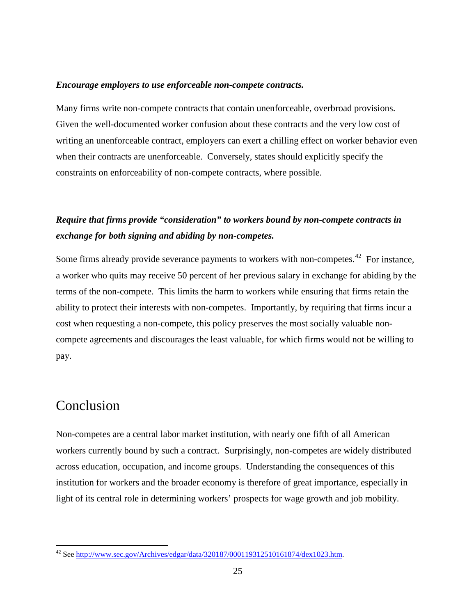#### *Encourage employers to use enforceable non-compete contracts.*

Many firms write non-compete contracts that contain unenforceable, overbroad provisions. Given the well-documented worker confusion about these contracts and the very low cost of writing an unenforceable contract, employers can exert a chilling effect on worker behavior even when their contracts are unenforceable. Conversely, states should explicitly specify the constraints on enforceability of non-compete contracts, where possible.

### *Require that firms provide "consideration" to workers bound by non-compete contracts in exchange for both signing and abiding by non-competes.*

Some firms already provide severance payments to workers with non-competes.<sup>[42](#page-24-0)</sup> For instance, a worker who quits may receive 50 percent of her previous salary in exchange for abiding by the terms of the non-compete. This limits the harm to workers while ensuring that firms retain the ability to protect their interests with non-competes. Importantly, by requiring that firms incur a cost when requesting a non-compete, this policy preserves the most socially valuable noncompete agreements and discourages the least valuable, for which firms would not be willing to pay.

### Conclusion

Non-competes are a central labor market institution, with nearly one fifth of all American workers currently bound by such a contract. Surprisingly, non-competes are widely distributed across education, occupation, and income groups. Understanding the consequences of this institution for workers and the broader economy is therefore of great importance, especially in light of its central role in determining workers' prospects for wage growth and job mobility.

<span id="page-24-0"></span> <sup>42</sup> See [http://www.sec.gov/Archives/edgar/data/320187/000119312510161874/dex1023.htm.](http://www.sec.gov/Archives/edgar/data/320187/000119312510161874/dex1023.htm)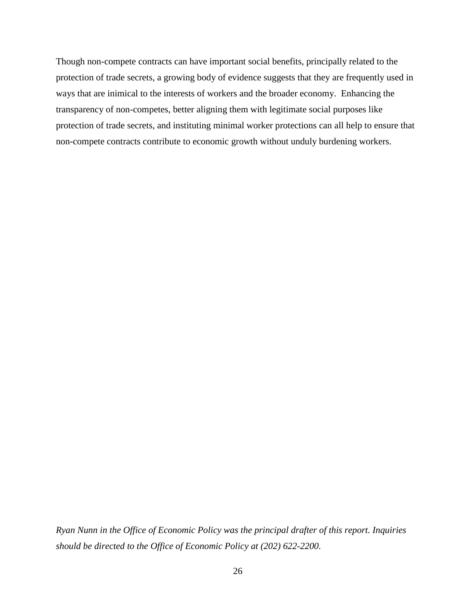Though non-compete contracts can have important social benefits, principally related to the protection of trade secrets, a growing body of evidence suggests that they are frequently used in ways that are inimical to the interests of workers and the broader economy. Enhancing the transparency of non-competes, better aligning them with legitimate social purposes like protection of trade secrets, and instituting minimal worker protections can all help to ensure that non-compete contracts contribute to economic growth without unduly burdening workers.

*Ryan Nunn in the Office of Economic Policy was the principal drafter of this report. Inquiries should be directed to the Office of Economic Policy at (202) 622-2200.*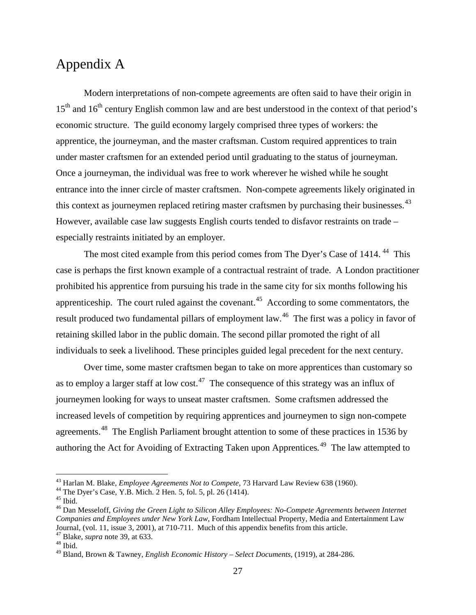### Appendix A

Modern interpretations of non-compete agreements are often said to have their origin in  $15<sup>th</sup>$  and  $16<sup>th</sup>$  century English common law and are best understood in the context of that period's economic structure. The guild economy largely comprised three types of workers: the apprentice, the journeyman, and the master craftsman. Custom required apprentices to train under master craftsmen for an extended period until graduating to the status of journeyman. Once a journeyman, the individual was free to work wherever he wished while he sought entrance into the inner circle of master craftsmen. Non-compete agreements likely originated in this context as journeymen replaced retiring master craftsmen by purchasing their businesses.<sup>[43](#page-26-0)</sup> However, available case law suggests English courts tended to disfavor restraints on trade – especially restraints initiated by an employer.

The most cited example from this period comes from The Dyer's Case of 1414.<sup>[44](#page-26-1)</sup> This case is perhaps the first known example of a contractual restraint of trade. A London practitioner prohibited his apprentice from pursuing his trade in the same city for six months following his apprenticeship. The court ruled against the covenant.<sup>[45](#page-26-2)</sup> According to some commentators, the result produced two fundamental pillars of employment law.<sup>[46](#page-26-3)</sup> The first was a policy in favor of retaining skilled labor in the public domain. The second pillar promoted the right of all individuals to seek a livelihood. These principles guided legal precedent for the next century.

Over time, some master craftsmen began to take on more apprentices than customary so as to employ a larger staff at low cost.<sup>47</sup> The consequence of this strategy was an influx of journeymen looking for ways to unseat master craftsmen. Some craftsmen addressed the increased levels of competition by requiring apprentices and journeymen to sign non-compete agreements.<sup>[48](#page-26-5)</sup> The English Parliament brought attention to some of these practices in 1536 by authoring the Act for Avoiding of Extracting Taken upon Apprentices*.* [49](#page-26-6) The law attempted to

<span id="page-26-0"></span><sup>&</sup>lt;sup>43</sup> Harlan M. Blake, *Employee Agreements Not to Compete*, 73 Harvard Law Review 638 (1960).<br><sup>44</sup> The Dyer's Case, Y.B. Mich. 2 Hen. 5, fol. 5, pl. 26 (1414).<br><sup>45</sup> Ibid.<br><sup>46</sup> Dan Messeloff, *Giving the Green Light to Sil* 

<span id="page-26-1"></span>

<span id="page-26-3"></span><span id="page-26-2"></span>*Companies and Employees under New York Law,* Fordham Intellectual Property, Media and Entertainment Law Journal, (vol. 11, issue 3, 2001), at 710-711. Much of this appendix benefits from this article. 47 Blake, *supra* note 39, at 633. <sup>48</sup> Ibid.

<span id="page-26-4"></span>

<span id="page-26-6"></span><span id="page-26-5"></span><sup>49</sup> Bland, Brown & Tawney, *English Economic History – Select Documents,* (1919), at 284-286.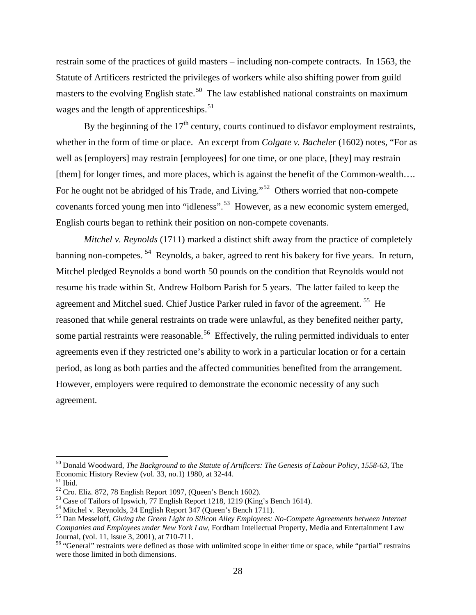restrain some of the practices of guild masters – including non-compete contracts. In 1563, the Statute of Artificers restricted the privileges of workers while also shifting power from guild masters to the evolving English state.<sup>[50](#page-27-0)</sup> The law established national constraints on maximum wages and the length of apprenticeships. $51$ 

By the beginning of the  $17<sup>th</sup>$  century, courts continued to disfavor employment restraints, whether in the form of time or place. An excerpt from *Colgate v. Bacheler* (1602) notes, "For as well as [employers] may restrain [employees] for one time, or one place, [they] may restrain [them] for longer times, and more places, which is against the benefit of the Common-wealth.... For he ought not be abridged of his Trade, and Living."<sup>[52](#page-27-2)</sup> Others worried that non-compete covenants forced young men into "idleness".[53](#page-27-3) However, as a new economic system emerged, English courts began to rethink their position on non-compete covenants.

*Mitchel v. Reynolds* (1711) marked a distinct shift away from the practice of completely banning non-competes.<sup>[54](#page-27-4)</sup> Reynolds, a baker, agreed to rent his bakery for five years. In return, Mitchel pledged Reynolds a bond worth 50 pounds on the condition that Reynolds would not resume his trade within St. Andrew Holborn Parish for 5 years. The latter failed to keep the agreement and Mitchel sued. Chief Justice Parker ruled in favor of the agreement. [55](#page-27-5) He reasoned that while general restraints on trade were unlawful, as they benefited neither party, some partial restraints were reasonable.<sup>[56](#page-27-6)</sup> Effectively, the ruling permitted individuals to enter agreements even if they restricted one's ability to work in a particular location or for a certain period, as long as both parties and the affected communities benefited from the arrangement. However, employers were required to demonstrate the economic necessity of any such agreement.

<span id="page-27-0"></span><sup>&</sup>lt;sup>50</sup> Donald Woodward, *The Background to the Statute of Artificers: The Genesis of Labour Policy, 1558-63*, The Economic History Review (vol. 33, no.1) 1980, at 32-44.

<span id="page-27-3"></span>

<span id="page-27-5"></span><span id="page-27-4"></span>

<span id="page-27-2"></span><span id="page-27-1"></span><sup>&</sup>lt;sup>51</sup> Ibid.<br><sup>52</sup> Cro. Eliz. 872, 78 English Report 1097, (Queen's Bench 1602).<br><sup>53</sup> Case of Tailors of Ipswich, 77 English Report 1218, 1219 (King's Bench 1614).<br><sup>54</sup> Mitchel v. Reynolds, 24 English Report 347 (Queen's Ben *Companies and Employees under New York Law,* Fordham Intellectual Property, Media and Entertainment Law

<span id="page-27-6"></span><sup>&</sup>lt;sup>56</sup> "General" restraints were defined as those with unlimited scope in either time or space, while "partial" restrains were those limited in both dimensions.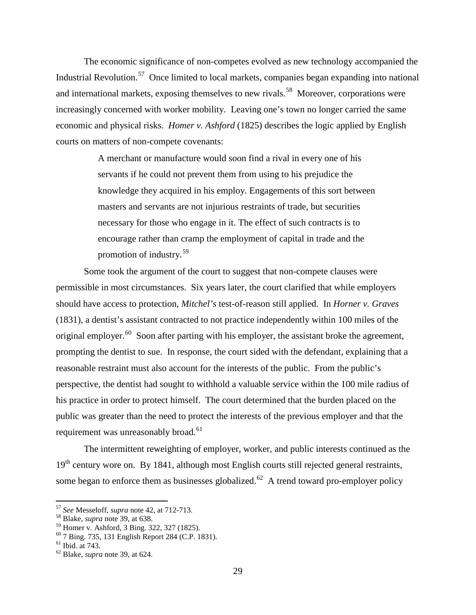The economic significance of non-competes evolved as new technology accompanied the Industrial Revolution.<sup>[57](#page-28-0)</sup> Once limited to local markets, companies began expanding into national and international markets, exposing themselves to new rivals.<sup>[58](#page-28-1)</sup> Moreover, corporations were increasingly concerned with worker mobility. Leaving one's town no longer carried the same economic and physical risks. *Homer v. Ashford* (1825) describes the logic applied by English courts on matters of non-compete covenants:

> A merchant or manufacture would soon find a rival in every one of his servants if he could not prevent them from using to his prejudice the knowledge they acquired in his employ. Engagements of this sort between masters and servants are not injurious restraints of trade, but securities necessary for those who engage in it. The effect of such contracts is to encourage rather than cramp the employment of capital in trade and the promotion of industry.[59](#page-28-2)

Some took the argument of the court to suggest that non-compete clauses were permissible in most circumstances. Six years later, the court clarified that while employers should have access to protection, *Mitchel's* test-of-reason still applied. In *Horner v. Graves* (1831), a dentist's assistant contracted to not practice independently within 100 miles of the original employer.<sup>[60](#page-28-3)</sup> Soon after parting with his employer, the assistant broke the agreement, prompting the dentist to sue. In response, the court sided with the defendant, explaining that a reasonable restraint must also account for the interests of the public. From the public's perspective, the dentist had sought to withhold a valuable service within the 100 mile radius of his practice in order to protect himself. The court determined that the burden placed on the public was greater than the need to protect the interests of the previous employer and that the requirement was unreasonably broad.<sup>[61](#page-28-4)</sup>

The intermittent reweighting of employer, worker, and public interests continued as the 19<sup>th</sup> century wore on. By 1841, although most English courts still rejected general restraints, some began to enforce them as businesses globalized.<sup>[62](#page-28-5)</sup> A trend toward pro-employer policy

<span id="page-28-0"></span><sup>57</sup> *See* Messeloff, *supra* note 42, at 712-713. <sup>58</sup> Blake, *supra* note 39, at 638.

<span id="page-28-1"></span>

<span id="page-28-3"></span><span id="page-28-2"></span><sup>&</sup>lt;sup>60</sup> 7 Bing. 735, 131 English Report 284 (C.P. 1831).<br><sup>61</sup> Ibid. at 743. <sup>62</sup> Blake, *supra* note 39, at 624.

<span id="page-28-5"></span><span id="page-28-4"></span>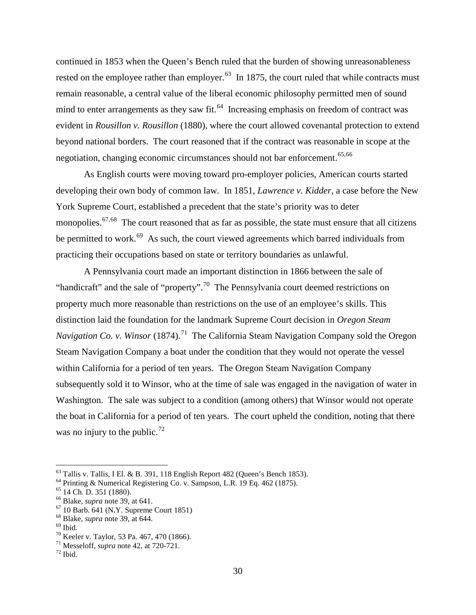continued in 1853 when the Queen's Bench ruled that the burden of showing unreasonableness rested on the employee rather than employer.<sup>[63](#page-29-0)</sup> In 1875, the court ruled that while contracts must remain reasonable, a central value of the liberal economic philosophy permitted men of sound mind to enter arrangements as they saw fit.<sup>[64](#page-29-1)</sup> Increasing emphasis on freedom of contract was evident in *Rousillon v. Rousillon* (1880), where the court allowed covenantal protection to extend beyond national borders. The court reasoned that if the contract was reasonable in scope at the negotiation, changing economic circumstances should not bar enforcement.<sup>[65,](#page-29-2)[66](#page-29-3)</sup>

As English courts were moving toward pro-employer policies, American courts started developing their own body of common law. In 1851, *Lawrence v. Kidder*, a case before the New York Supreme Court, established a precedent that the state's priority was to deter monopolies.<sup>[67,](#page-29-4)[68](#page-29-5)</sup> The court reasoned that as far as possible, the state must ensure that all citizens be permitted to work.<sup>[69](#page-29-6)</sup> As such, the court viewed agreements which barred individuals from practicing their occupations based on state or territory boundaries as unlawful.

A Pennsylvania court made an important distinction in 1866 between the sale of "handicraft" and the sale of "property".<sup>[70](#page-29-7)</sup> The Pennsylvania court deemed restrictions on property much more reasonable than restrictions on the use of an employee's skills. This distinction laid the foundation for the landmark Supreme Court decision in *Oregon Steam Navigation Co. v. Winsor* (1874).<sup>[71](#page-29-8)</sup> The California Steam Navigation Company sold the Oregon Steam Navigation Company a boat under the condition that they would not operate the vessel within California for a period of ten years. The Oregon Steam Navigation Company subsequently sold it to Winsor, who at the time of sale was engaged in the navigation of water in Washington. The sale was subject to a condition (among others) that Winsor would not operate the boat in California for a period of ten years. The court upheld the condition, noting that there was no injury to the public.<sup>[72](#page-29-9)</sup>

<span id="page-29-0"></span><sup>&</sup>lt;sup>63</sup> Tallis v. Tallis, I El. & B. 391, 118 English Report 482 (Queen's Bench 1853).<br><sup>64</sup> Printing & Numerical Registering Co. v. Sampson, L.R. 19 Eq. 462 (1875).<br><sup>65</sup> 14 Ch. D. 351 (1880).<br><sup>66</sup> Blake, *supra* note 39, at

<span id="page-29-1"></span>

<span id="page-29-2"></span>

<span id="page-29-3"></span>

<span id="page-29-4"></span>

<span id="page-29-5"></span>

<span id="page-29-6"></span>

<span id="page-29-8"></span><span id="page-29-7"></span>

<span id="page-29-9"></span>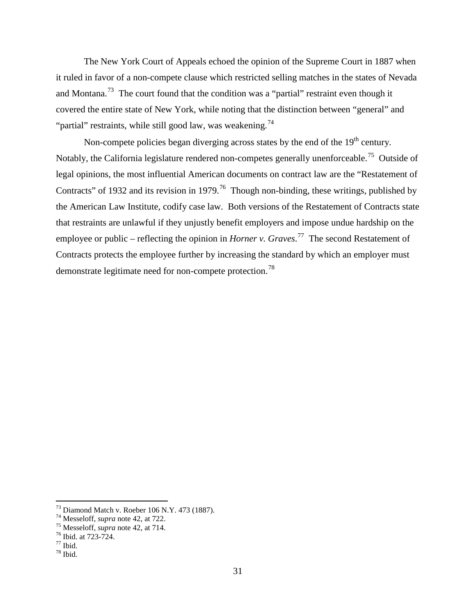The New York Court of Appeals echoed the opinion of the Supreme Court in 1887 when it ruled in favor of a non-compete clause which restricted selling matches in the states of Nevada and Montana.<sup>[73](#page-30-0)</sup> The court found that the condition was a "partial" restraint even though it covered the entire state of New York, while noting that the distinction between "general" and "partial" restraints, while still good law, was weakening.<sup>[74](#page-30-1)</sup>

Non-compete policies began diverging across states by the end of the  $19<sup>th</sup>$  century. Notably, the California legislature rendered non-competes generally unenforceable.<sup>[75](#page-30-2)</sup> Outside of legal opinions, the most influential American documents on contract law are the "Restatement of Contracts" of 1932 and its revision in 1979.<sup>[76](#page-30-3)</sup> Though non-binding, these writings, published by the American Law Institute, codify case law. Both versions of the Restatement of Contracts state that restraints are unlawful if they unjustly benefit employers and impose undue hardship on the employee or public – reflecting the opinion in *Horner v. Graves*.<sup>[77](#page-30-4)</sup> The second Restatement of Contracts protects the employee further by increasing the standard by which an employer must demonstrate legitimate need for non-compete protection.<sup>[78](#page-30-5)</sup>

<span id="page-30-1"></span><span id="page-30-0"></span><sup>&</sup>lt;sup>73</sup> Diamond Match v. Roeber 106 N.Y. 473 (1887).<br><sup>74</sup> Messeloff, *supra* note 42, at 722.<br><sup>75</sup> Messeloff, *supra* note 42, at 714.<br><sup>76</sup> Ibid. at 723-724.<br><sup>77</sup> Ibid.

<span id="page-30-3"></span><span id="page-30-2"></span>

<span id="page-30-5"></span><span id="page-30-4"></span>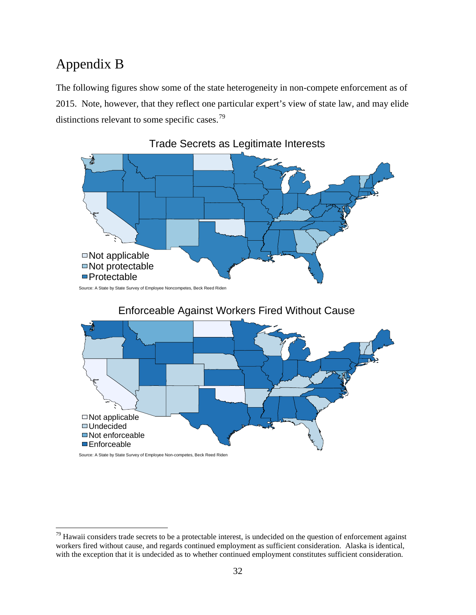# Appendix B

The following figures show some of the state heterogeneity in non-compete enforcement as of 2015. Note, however, that they reflect one particular expert's view of state law, and may elide distinctions relevant to some specific cases.<sup>79</sup>



Source: A State by State Survey of Employee Non-competes, Beck Reed Riden

<span id="page-31-0"></span> $79$  Hawaii considers trade secrets to be a protectable interest, is undecided on the question of enforcement against workers fired without cause, and regards continued employment as sufficient consideration. Alaska is identical, with the exception that it is undecided as to whether continued employment constitutes sufficient consideration.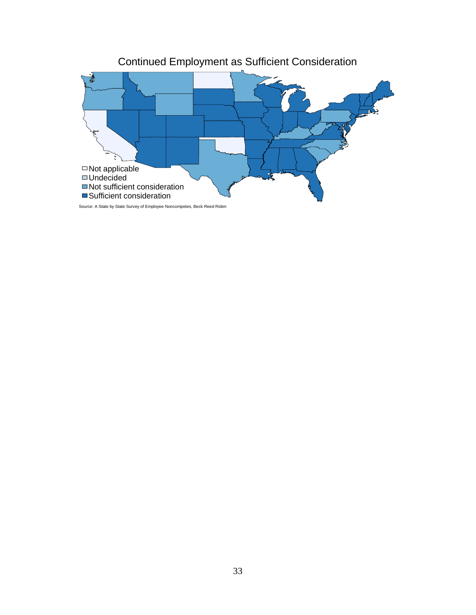

Source: A State by State Survey of Employee Noncompetes, Beck Reed Riden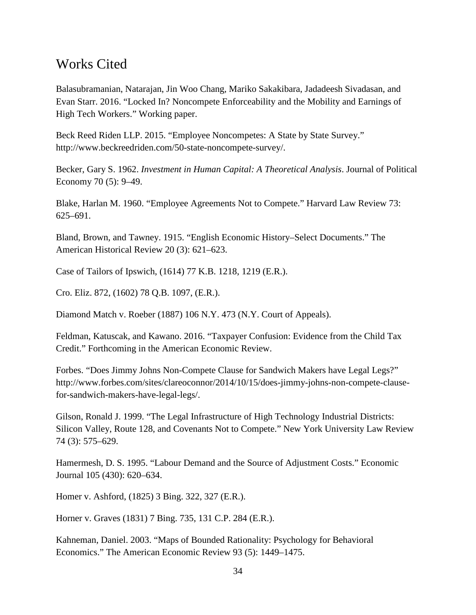## Works Cited

Balasubramanian, Natarajan, Jin Woo Chang, Mariko Sakakibara, Jadadeesh Sivadasan, and Evan Starr. 2016. "Locked In? Noncompete Enforceability and the Mobility and Earnings of High Tech Workers." Working paper.

Beck Reed Riden LLP. 2015. "Employee Noncompetes: A State by State Survey." http://www.beckreedriden.com/50-state-noncompete-survey/.

Becker, Gary S. 1962. *Investment in Human Capital: A Theoretical Analysis*. Journal of Political Economy 70 (5): 9–49.

Blake, Harlan M. 1960. "Employee Agreements Not to Compete." Harvard Law Review 73: 625–691.

Bland, Brown, and Tawney. 1915. "English Economic History–Select Documents." The American Historical Review 20 (3): 621–623.

Case of Tailors of Ipswich, (1614) 77 K.B. 1218, 1219 (E.R.).

Cro. Eliz. 872, (1602) 78 Q.B. 1097, (E.R.).

Diamond Match v. Roeber (1887) 106 N.Y. 473 (N.Y. Court of Appeals).

Feldman, Katuscak, and Kawano. 2016. "Taxpayer Confusion: Evidence from the Child Tax Credit." Forthcoming in the American Economic Review.

Forbes. "Does Jimmy Johns Non-Compete Clause for Sandwich Makers have Legal Legs?" http://www.forbes.com/sites/clareoconnor/2014/10/15/does-jimmy-johns-non-compete-clausefor-sandwich-makers-have-legal-legs/.

Gilson, Ronald J. 1999. "The Legal Infrastructure of High Technology Industrial Districts: Silicon Valley, Route 128, and Covenants Not to Compete." New York University Law Review 74 (3): 575–629.

Hamermesh, D. S. 1995. "Labour Demand and the Source of Adjustment Costs." Economic Journal 105 (430): 620–634.

Homer v. Ashford, (1825) 3 Bing. 322, 327 (E.R.).

Horner v. Graves (1831) 7 Bing. 735, 131 C.P. 284 (E.R.).

Kahneman, Daniel. 2003. "Maps of Bounded Rationality: Psychology for Behavioral Economics." The American Economic Review 93 (5): 1449–1475.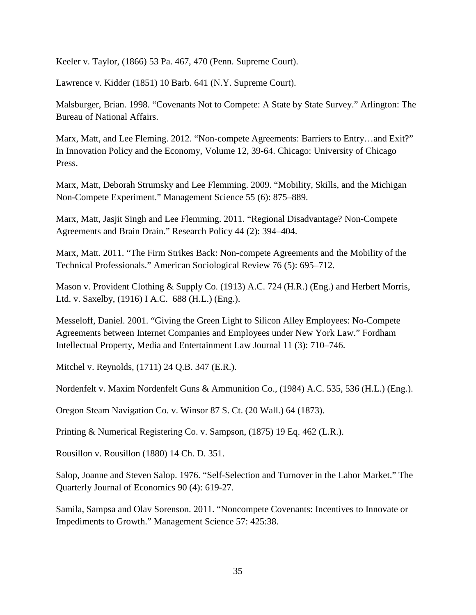Keeler v. Taylor, (1866) 53 Pa. 467, 470 (Penn. Supreme Court).

Lawrence v. Kidder (1851) 10 Barb. 641 (N.Y. Supreme Court).

Malsburger, Brian. 1998. "Covenants Not to Compete: A State by State Survey." Arlington: The Bureau of National Affairs.

Marx, Matt, and Lee Fleming. 2012. "Non-compete Agreements: Barriers to Entry...and Exit?" In Innovation Policy and the Economy, Volume 12, 39-64. Chicago: University of Chicago Press.

Marx, Matt, Deborah Strumsky and Lee Flemming. 2009. "Mobility, Skills, and the Michigan Non-Compete Experiment." Management Science 55 (6): 875–889.

Marx, Matt, Jasjit Singh and Lee Flemming. 2011. "Regional Disadvantage? Non-Compete Agreements and Brain Drain." Research Policy 44 (2): 394–404.

Marx, Matt. 2011. "The Firm Strikes Back: Non-compete Agreements and the Mobility of the Technical Professionals." American Sociological Review 76 (5): 695–712.

Mason v. Provident Clothing & Supply Co. (1913) A.C. 724 (H.R.) (Eng.) and Herbert Morris, Ltd. v. Saxelby, (1916) I A.C. 688 (H.L.) (Eng.).

Messeloff, Daniel. 2001. "Giving the Green Light to Silicon Alley Employees: No-Compete Agreements between Internet Companies and Employees under New York Law." Fordham Intellectual Property, Media and Entertainment Law Journal 11 (3): 710–746.

Mitchel v. Reynolds, (1711) 24 Q.B. 347 (E.R.).

Nordenfelt v. Maxim Nordenfelt Guns & Ammunition Co., (1984) A.C. 535, 536 (H.L.) (Eng.).

Oregon Steam Navigation Co. v. Winsor 87 S. Ct. (20 Wall.) 64 (1873).

Printing & Numerical Registering Co. v. Sampson, (1875) 19 Eq. 462 (L.R.).

Rousillon v. Rousillon (1880) 14 Ch. D. 351.

Salop, Joanne and Steven Salop. 1976. "Self-Selection and Turnover in the Labor Market." The Quarterly Journal of Economics 90 (4): 619-27.

Samila, Sampsa and Olav Sorenson. 2011. "Noncompete Covenants: Incentives to Innovate or Impediments to Growth." Management Science 57: 425:38.